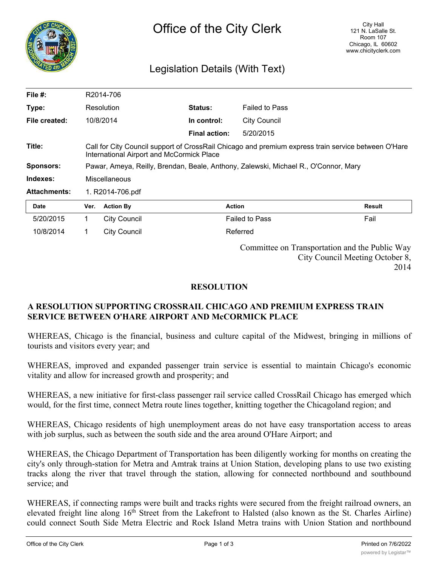

## Legislation Details (With Text)

| File $#$ :          | R2014-706                                                                                                                                               |                     |                      |                       |        |
|---------------------|---------------------------------------------------------------------------------------------------------------------------------------------------------|---------------------|----------------------|-----------------------|--------|
| Type:               |                                                                                                                                                         | Resolution          | <b>Status:</b>       | <b>Failed to Pass</b> |        |
| File created:       |                                                                                                                                                         | 10/8/2014           | In control:          | <b>City Council</b>   |        |
|                     |                                                                                                                                                         |                     | <b>Final action:</b> | 5/20/2015             |        |
| Title:              | Call for City Council support of CrossRail Chicago and premium express train service between O'Hare<br><b>International Airport and McCormick Place</b> |                     |                      |                       |        |
| <b>Sponsors:</b>    | Pawar, Ameya, Reilly, Brendan, Beale, Anthony, Zalewski, Michael R., O'Connor, Mary                                                                     |                     |                      |                       |        |
| Indexes:            | Miscellaneous                                                                                                                                           |                     |                      |                       |        |
| <b>Attachments:</b> | 1. R2014-706.pdf                                                                                                                                        |                     |                      |                       |        |
| Date                | Ver.                                                                                                                                                    | <b>Action By</b>    | <b>Action</b>        |                       | Result |
| 5/20/2015           | 1                                                                                                                                                       | <b>City Council</b> |                      | <b>Failed to Pass</b> | Fail   |
| 10/8/2014           | 1.                                                                                                                                                      | <b>City Council</b> |                      | Referred              |        |
|                     | Committee on Transportation and the Public Way<br>City Council Meeting October 8,                                                                       |                     |                      |                       |        |

## **RESOLUTION**

## **A RESOLUTION SUPPORTING CROSSRAIL CHICAGO AND PREMIUM EXPRESS TRAIN SERVICE BETWEEN O'HARE AIRPORT AND McCORMICK PLACE**

WHEREAS, Chicago is the financial, business and culture capital of the Midwest, bringing in millions of tourists and visitors every year; and

WHEREAS, improved and expanded passenger train service is essential to maintain Chicago's economic vitality and allow for increased growth and prosperity; and

WHEREAS, a new initiative for first-class passenger rail service called CrossRail Chicago has emerged which would, for the first time, connect Metra route lines together, knitting together the Chicagoland region; and

WHEREAS, Chicago residents of high unemployment areas do not have easy transportation access to areas with job surplus, such as between the south side and the area around O'Hare Airport; and

WHEREAS, the Chicago Department of Transportation has been diligently working for months on creating the city's only through-station for Metra and Amtrak trains at Union Station, developing plans to use two existing tracks along the river that travel through the station, allowing for connected northbound and southbound service; and

WHEREAS, if connecting ramps were built and tracks rights were secured from the freight railroad owners, an elevated freight line along 16<sup>th</sup> Street from the Lakefront to Halsted (also known as the St. Charles Airline) could connect South Side Metra Electric and Rock Island Metra trains with Union Station and northbound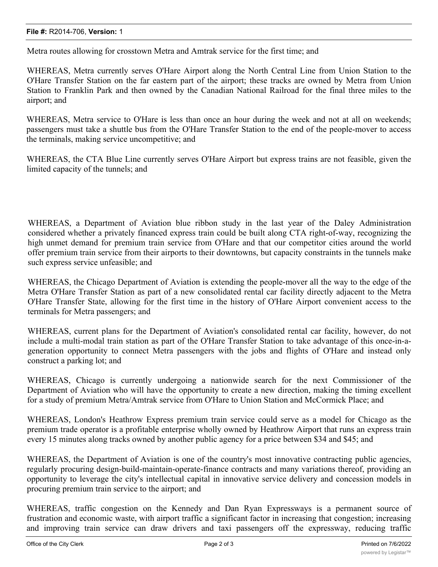## **File #:** R2014-706, **Version:** 1

Metra routes allowing for crosstown Metra and Amtrak service for the first time; and

WHEREAS, Metra currently serves O'Hare Airport along the North Central Line from Union Station to the O'Hare Transfer Station on the far eastern part of the airport; these tracks are owned by Metra from Union Station to Franklin Park and then owned by the Canadian National Railroad for the final three miles to the airport; and

WHEREAS, Metra service to O'Hare is less than once an hour during the week and not at all on weekends; passengers must take a shuttle bus from the O'Hare Transfer Station to the end of the people-mover to access the terminals, making service uncompetitive; and

WHEREAS, the CTA Blue Line currently serves O'Hare Airport but express trains are not feasible, given the limited capacity of the tunnels; and

WHEREAS, a Department of Aviation blue ribbon study in the last year of the Daley Administration considered whether a privately financed express train could be built along CTA right-of-way, recognizing the high unmet demand for premium train service from O'Hare and that our competitor cities around the world offer premium train service from their airports to their downtowns, but capacity constraints in the tunnels make such express service unfeasible; and

WHEREAS, the Chicago Department of Aviation is extending the people-mover all the way to the edge of the Metra O'Hare Transfer Station as part of a new consolidated rental car facility directly adjacent to the Metra O'Hare Transfer State, allowing for the first time in the history of O'Hare Airport convenient access to the terminals for Metra passengers; and

WHEREAS, current plans for the Department of Aviation's consolidated rental car facility, however, do not include a multi-modal train station as part of the O'Hare Transfer Station to take advantage of this once-in-ageneration opportunity to connect Metra passengers with the jobs and flights of O'Hare and instead only construct a parking lot; and

WHEREAS, Chicago is currently undergoing a nationwide search for the next Commissioner of the Department of Aviation who will have the opportunity to create a new direction, making the timing excellent for a study of premium Metra/Amtrak service from O'Hare to Union Station and McCormick Place; and

WHEREAS, London's Heathrow Express premium train service could serve as a model for Chicago as the premium trade operator is a profitable enterprise wholly owned by Heathrow Airport that runs an express train every 15 minutes along tracks owned by another public agency for a price between \$34 and \$45; and

WHEREAS, the Department of Aviation is one of the country's most innovative contracting public agencies, regularly procuring design-build-maintain-operate-finance contracts and many variations thereof, providing an opportunity to leverage the city's intellectual capital in innovative service delivery and concession models in procuring premium train service to the airport; and

WHEREAS, traffic congestion on the Kennedy and Dan Ryan Expressways is a permanent source of frustration and economic waste, with airport traffic a significant factor in increasing that congestion; increasing and improving train service can draw drivers and taxi passengers off the expressway, reducing traffic